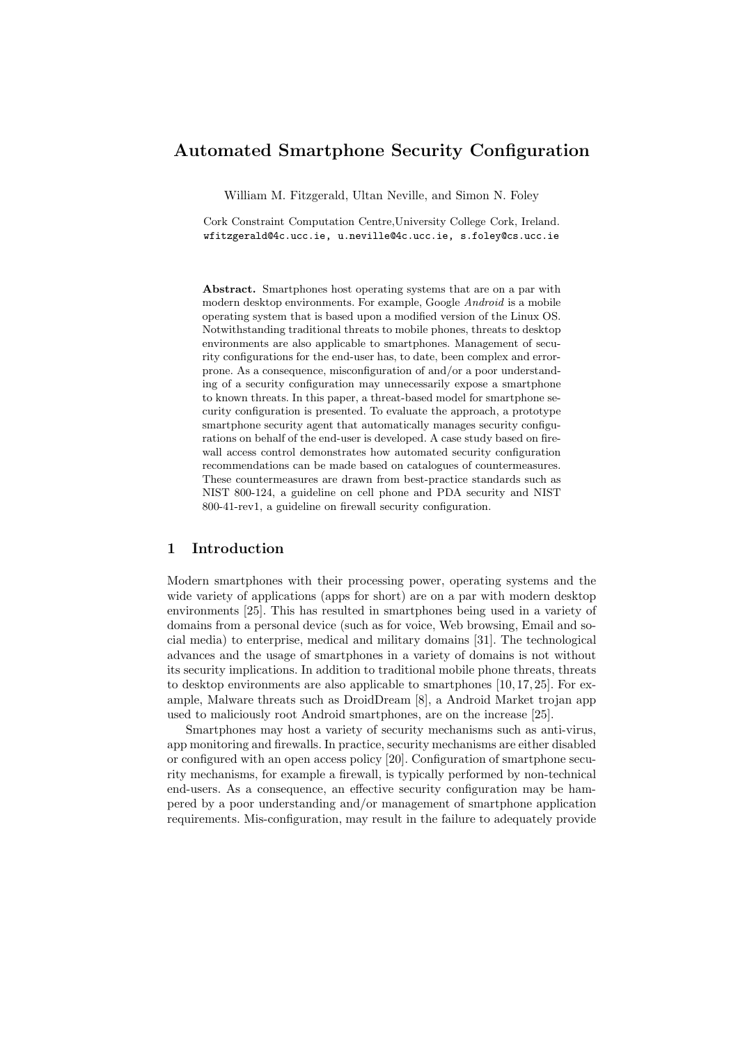# Automated Smartphone Security Configuration

William M. Fitzgerald, Ultan Neville, and Simon N. Foley

Cork Constraint Computation Centre,University College Cork, Ireland. wfitzgerald@4c.ucc.ie, u.neville@4c.ucc.ie, s.foley@cs.ucc.ie

Abstract. Smartphones host operating systems that are on a par with modern desktop environments. For example, Google Android is a mobile operating system that is based upon a modified version of the Linux OS. Notwithstanding traditional threats to mobile phones, threats to desktop environments are also applicable to smartphones. Management of security configurations for the end-user has, to date, been complex and errorprone. As a consequence, misconfiguration of and/or a poor understanding of a security configuration may unnecessarily expose a smartphone to known threats. In this paper, a threat-based model for smartphone security configuration is presented. To evaluate the approach, a prototype smartphone security agent that automatically manages security configurations on behalf of the end-user is developed. A case study based on firewall access control demonstrates how automated security configuration recommendations can be made based on catalogues of countermeasures. These countermeasures are drawn from best-practice standards such as NIST 800-124, a guideline on cell phone and PDA security and NIST 800-41-rev1, a guideline on firewall security configuration.

### 1 Introduction

Modern smartphones with their processing power, operating systems and the wide variety of applications (apps for short) are on a par with modern desktop environments [25]. This has resulted in smartphones being used in a variety of domains from a personal device (such as for voice, Web browsing, Email and social media) to enterprise, medical and military domains [31]. The technological advances and the usage of smartphones in a variety of domains is not without its security implications. In addition to traditional mobile phone threats, threats to desktop environments are also applicable to smartphones [10, 17, 25]. For example, Malware threats such as DroidDream [8], a Android Market trojan app used to maliciously root Android smartphones, are on the increase [25].

Smartphones may host a variety of security mechanisms such as anti-virus, app monitoring and firewalls. In practice, security mechanisms are either disabled or configured with an open access policy [20]. Configuration of smartphone security mechanisms, for example a firewall, is typically performed by non-technical end-users. As a consequence, an effective security configuration may be hampered by a poor understanding and/or management of smartphone application requirements. Mis-configuration, may result in the failure to adequately provide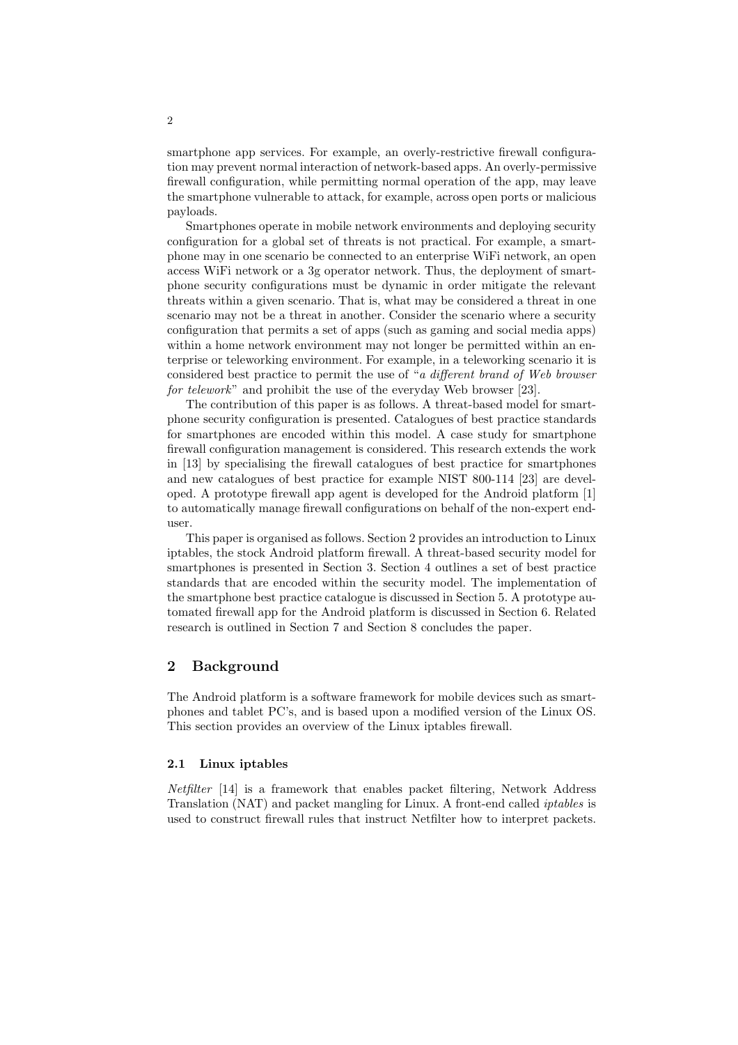smartphone app services. For example, an overly-restrictive firewall configuration may prevent normal interaction of network-based apps. An overly-permissive firewall configuration, while permitting normal operation of the app, may leave the smartphone vulnerable to attack, for example, across open ports or malicious payloads.

Smartphones operate in mobile network environments and deploying security configuration for a global set of threats is not practical. For example, a smartphone may in one scenario be connected to an enterprise WiFi network, an open access WiFi network or a 3g operator network. Thus, the deployment of smartphone security configurations must be dynamic in order mitigate the relevant threats within a given scenario. That is, what may be considered a threat in one scenario may not be a threat in another. Consider the scenario where a security configuration that permits a set of apps (such as gaming and social media apps) within a home network environment may not longer be permitted within an enterprise or teleworking environment. For example, in a teleworking scenario it is considered best practice to permit the use of "a different brand of Web browser for telework" and prohibit the use of the everyday Web browser [23].

The contribution of this paper is as follows. A threat-based model for smartphone security configuration is presented. Catalogues of best practice standards for smartphones are encoded within this model. A case study for smartphone firewall configuration management is considered. This research extends the work in [13] by specialising the firewall catalogues of best practice for smartphones and new catalogues of best practice for example NIST 800-114 [23] are developed. A prototype firewall app agent is developed for the Android platform [1] to automatically manage firewall configurations on behalf of the non-expert enduser.

This paper is organised as follows. Section 2 provides an introduction to Linux iptables, the stock Android platform firewall. A threat-based security model for smartphones is presented in Section 3. Section 4 outlines a set of best practice standards that are encoded within the security model. The implementation of the smartphone best practice catalogue is discussed in Section 5. A prototype automated firewall app for the Android platform is discussed in Section 6. Related research is outlined in Section 7 and Section 8 concludes the paper.

### 2 Background

The Android platform is a software framework for mobile devices such as smartphones and tablet PC's, and is based upon a modified version of the Linux OS. This section provides an overview of the Linux iptables firewall.

#### 2.1 Linux iptables

Netfilter [14] is a framework that enables packet filtering, Network Address Translation (NAT) and packet mangling for Linux. A front-end called iptables is used to construct firewall rules that instruct Netfilter how to interpret packets.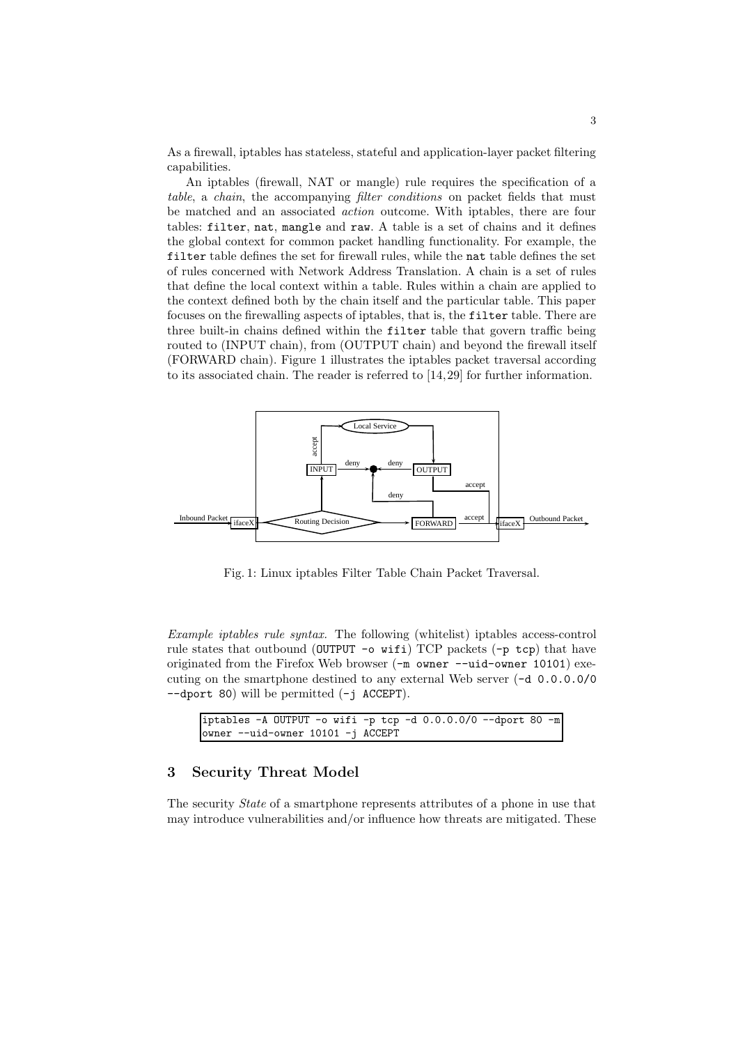As a firewall, iptables has stateless, stateful and application-layer packet filtering capabilities.

An iptables (firewall, NAT or mangle) rule requires the specification of a table, a chain, the accompanying filter conditions on packet fields that must be matched and an associated action outcome. With iptables, there are four tables: filter, nat, mangle and raw. A table is a set of chains and it defines the global context for common packet handling functionality. For example, the filter table defines the set for firewall rules, while the nat table defines the set of rules concerned with Network Address Translation. A chain is a set of rules that define the local context within a table. Rules within a chain are applied to the context defined both by the chain itself and the particular table. This paper focuses on the firewalling aspects of iptables, that is, the filter table. There are three built-in chains defined within the filter table that govern traffic being routed to (INPUT chain), from (OUTPUT chain) and beyond the firewall itself (FORWARD chain). Figure 1 illustrates the iptables packet traversal according to its associated chain. The reader is referred to [14,29] for further information.



Fig. 1: Linux iptables Filter Table Chain Packet Traversal.

Example iptables rule syntax. The following (whitelist) iptables access-control rule states that outbound (OUTPUT -o wifi) TCP packets  $(-p \text{ top})$  that have originated from the Firefox Web browser (-m owner --uid-owner 10101) executing on the smartphone destined to any external Web server (-d 0.0.0.0/0 --dport 80) will be permitted (-j ACCEPT).

```
iptables -A OUTPUT -o wifi -p tcp -d 0.0.0.0/0 --dport 80 -m
owner --uid-owner 10101 -j ACCEPT
```
### 3 Security Threat Model

The security State of a smartphone represents attributes of a phone in use that may introduce vulnerabilities and/or influence how threats are mitigated. These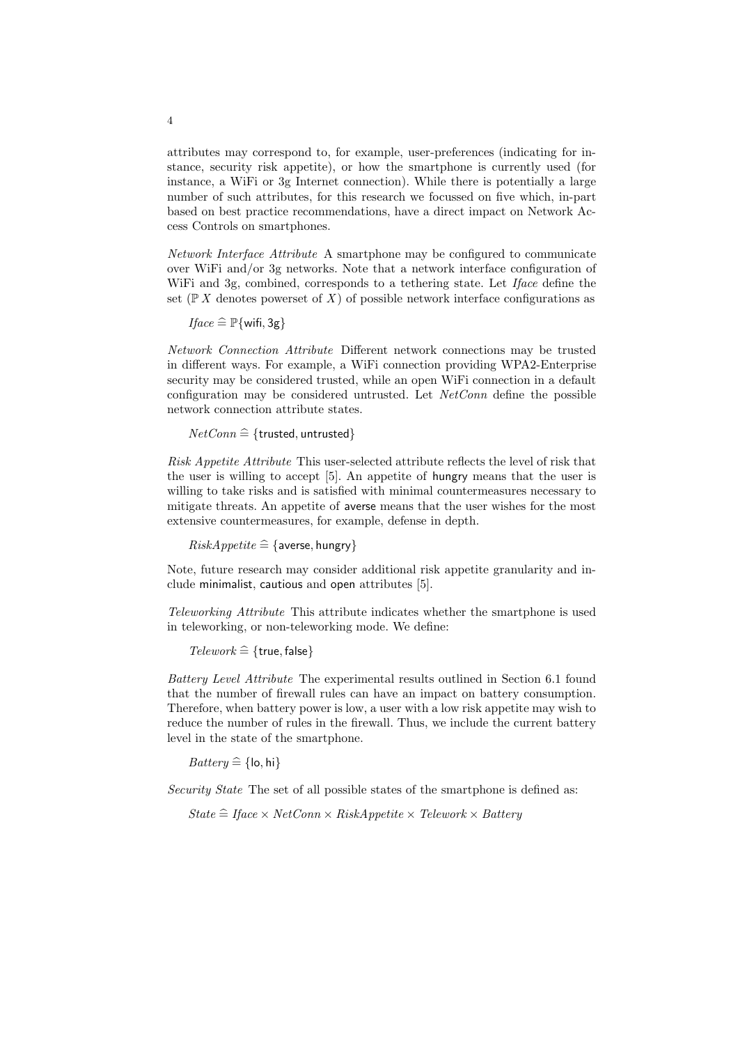attributes may correspond to, for example, user-preferences (indicating for instance, security risk appetite), or how the smartphone is currently used (for instance, a WiFi or 3g Internet connection). While there is potentially a large number of such attributes, for this research we focussed on five which, in-part based on best practice recommendations, have a direct impact on Network Access Controls on smartphones.

Network Interface Attribute A smartphone may be configured to communicate over WiFi and/or 3g networks. Note that a network interface configuration of WiFi and 3g, combined, corresponds to a tethering state. Let *Iface* define the set ( $\mathbb{P} X$  denotes powerset of X) of possible network interface configurations as

 $\text{Hace} \cong \mathbb{P}\{\text{wifi}, 3g\}$ 

Network Connection Attribute Different network connections may be trusted in different ways. For example, a WiFi connection providing WPA2-Enterprise security may be considered trusted, while an open WiFi connection in a default configuration may be considered untrusted. Let NetConn define the possible network connection attribute states.

```
NetConn \cong {trusted, untrusted}
```
Risk Appetite Attribute This user-selected attribute reflects the level of risk that the user is willing to accept [5]. An appetite of hungry means that the user is willing to take risks and is satisfied with minimal countermeasures necessary to mitigate threats. An appetite of averse means that the user wishes for the most extensive countermeasures, for example, defense in depth.

 $RiskAppetite \cong$  {averse, hungry}

Note, future research may consider additional risk appetite granularity and include minimalist, cautious and open attributes [5].

Teleworking Attribute This attribute indicates whether the smartphone is used in teleworking, or non-teleworking mode. We define:

 $Telework \cong$  {true, false}

Battery Level Attribute The experimental results outlined in Section 6.1 found that the number of firewall rules can have an impact on battery consumption. Therefore, when battery power is low, a user with a low risk appetite may wish to reduce the number of rules in the firewall. Thus, we include the current battery level in the state of the smartphone.

 $Battery \cong \{lo, hi\}$ 

Security State The set of all possible states of the smartphone is defined as:

 $State \cong If ace \times NetConn \times RiskAppetite \times Telework \times Battlery$ 

4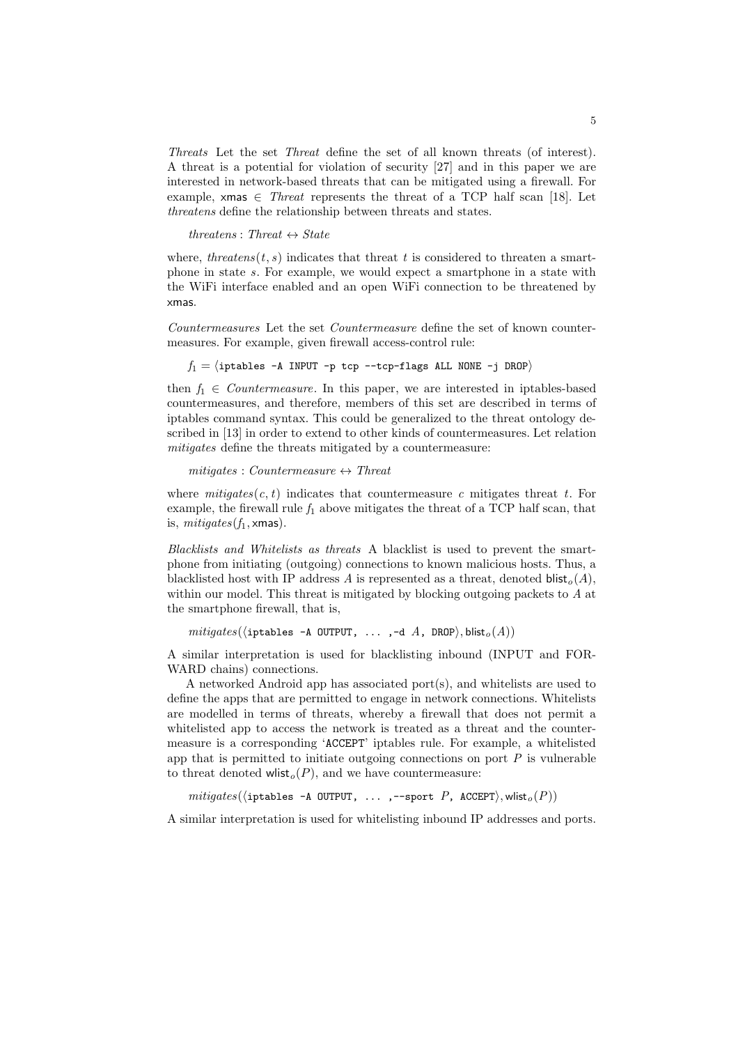Threats Let the set Threat define the set of all known threats (of interest). A threat is a potential for violation of security [27] and in this paper we are interested in network-based threats that can be mitigated using a firewall. For example, xmas  $\in$  Threat represents the threat of a TCP half scan [18]. Let threatens define the relationship between threats and states.

threatens : Threat  $\leftrightarrow$  State

where, threatens(t, s) indicates that threat t is considered to threaten a smartphone in state s. For example, we would expect a smartphone in a state with the WiFi interface enabled and an open WiFi connection to be threatened by xmas.

Countermeasures Let the set Countermeasure define the set of known countermeasures. For example, given firewall access-control rule:

 $f_1 = \langle \text{iptables -A INPUT -p tcp --tcp-flags ALL NONE -j DROP} \rangle$ 

then  $f_1 \in Countermeasure$ . In this paper, we are interested in iptables-based countermeasures, and therefore, members of this set are described in terms of iptables command syntax. This could be generalized to the threat ontology described in [13] in order to extend to other kinds of countermeasures. Let relation mitigates define the threats mitigated by a countermeasure:

 $mitigates: Countermeasure \leftrightarrow Thread$ 

where  $mitigates(c, t)$  indicates that countermeasure c mitigates threat t. For example, the firewall rule  $f_1$  above mitigates the threat of a TCP half scan, that is,  $mitigates(f_1, \times \text{mas}).$ 

Blacklists and Whitelists as threats A blacklist is used to prevent the smartphone from initiating (outgoing) connections to known malicious hosts. Thus, a blacklisted host with IP address A is represented as a threat, denoted  $\textsf{blist}_{o}(A)$ , within our model. This threat is mitigated by blocking outgoing packets to A at the smartphone firewall, that is,

 $mitigates(\langle iptables -A OUTPUT, \ldots, -d A, DROP \rangle, blist_o(A))$ 

A similar interpretation is used for blacklisting inbound (INPUT and FOR-WARD chains) connections.

A networked Android app has associated port(s), and whitelists are used to define the apps that are permitted to engage in network connections. Whitelists are modelled in terms of threats, whereby a firewall that does not permit a whitelisted app to access the network is treated as a threat and the countermeasure is a corresponding 'ACCEPT' iptables rule. For example, a whitelisted app that is permitted to initiate outgoing connections on port  $P$  is vulnerable to threat denoted wlist<sub>o</sub> $(P)$ , and we have countermeasure:

 $mitigates(\langle iptables -A OUTPUT, \ldots, --sport P, ACCEPT \rangle, wlist<sub>o</sub>(P))$ 

A similar interpretation is used for whitelisting inbound IP addresses and ports.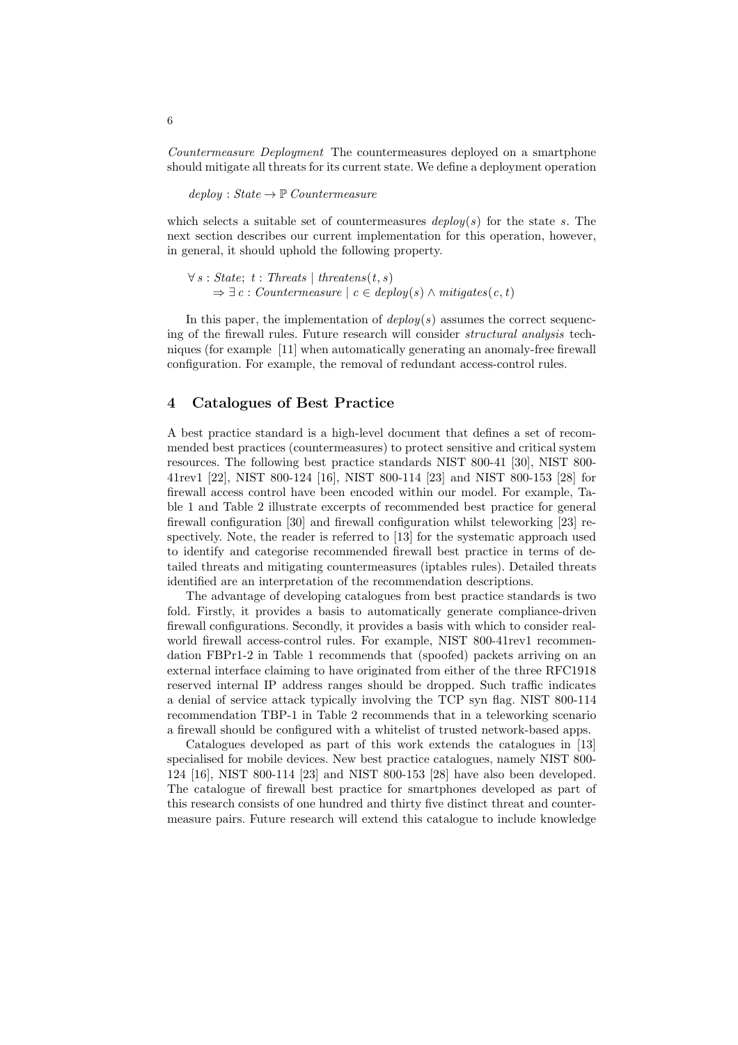Countermeasure Deployment The countermeasures deployed on a smartphone should mitigate all threats for its current state. We define a deployment operation

 $deploy: State \rightarrow \mathbb{P}$  Countermeasure

which selects a suitable set of countermeasures  $\text{deplog}(s)$  for the state s. The next section describes our current implementation for this operation, however, in general, it should uphold the following property.

 $\forall s : State; t : Theats | threetens(t, s)$  $\Rightarrow \exists c : Countermeasure \mid c \in deploy(s) \land mitigates(c, t)$ 

In this paper, the implementation of  $deploy(s)$  assumes the correct sequencing of the firewall rules. Future research will consider structural analysis techniques (for example [11] when automatically generating an anomaly-free firewall configuration. For example, the removal of redundant access-control rules.

### 4 Catalogues of Best Practice

A best practice standard is a high-level document that defines a set of recommended best practices (countermeasures) to protect sensitive and critical system resources. The following best practice standards NIST 800-41 [30], NIST 800- 41rev1 [22], NIST 800-124 [16], NIST 800-114 [23] and NIST 800-153 [28] for firewall access control have been encoded within our model. For example, Table 1 and Table 2 illustrate excerpts of recommended best practice for general firewall configuration [30] and firewall configuration whilst teleworking [23] respectively. Note, the reader is referred to [13] for the systematic approach used to identify and categorise recommended firewall best practice in terms of detailed threats and mitigating countermeasures (iptables rules). Detailed threats identified are an interpretation of the recommendation descriptions.

The advantage of developing catalogues from best practice standards is two fold. Firstly, it provides a basis to automatically generate compliance-driven firewall configurations. Secondly, it provides a basis with which to consider realworld firewall access-control rules. For example, NIST 800-41rev1 recommendation FBPr1-2 in Table 1 recommends that (spoofed) packets arriving on an external interface claiming to have originated from either of the three RFC1918 reserved internal IP address ranges should be dropped. Such traffic indicates a denial of service attack typically involving the TCP syn flag. NIST 800-114 recommendation TBP-1 in Table 2 recommends that in a teleworking scenario a firewall should be configured with a whitelist of trusted network-based apps.

Catalogues developed as part of this work extends the catalogues in [13] specialised for mobile devices. New best practice catalogues, namely NIST 800- 124 [16], NIST 800-114 [23] and NIST 800-153 [28] have also been developed. The catalogue of firewall best practice for smartphones developed as part of this research consists of one hundred and thirty five distinct threat and countermeasure pairs. Future research will extend this catalogue to include knowledge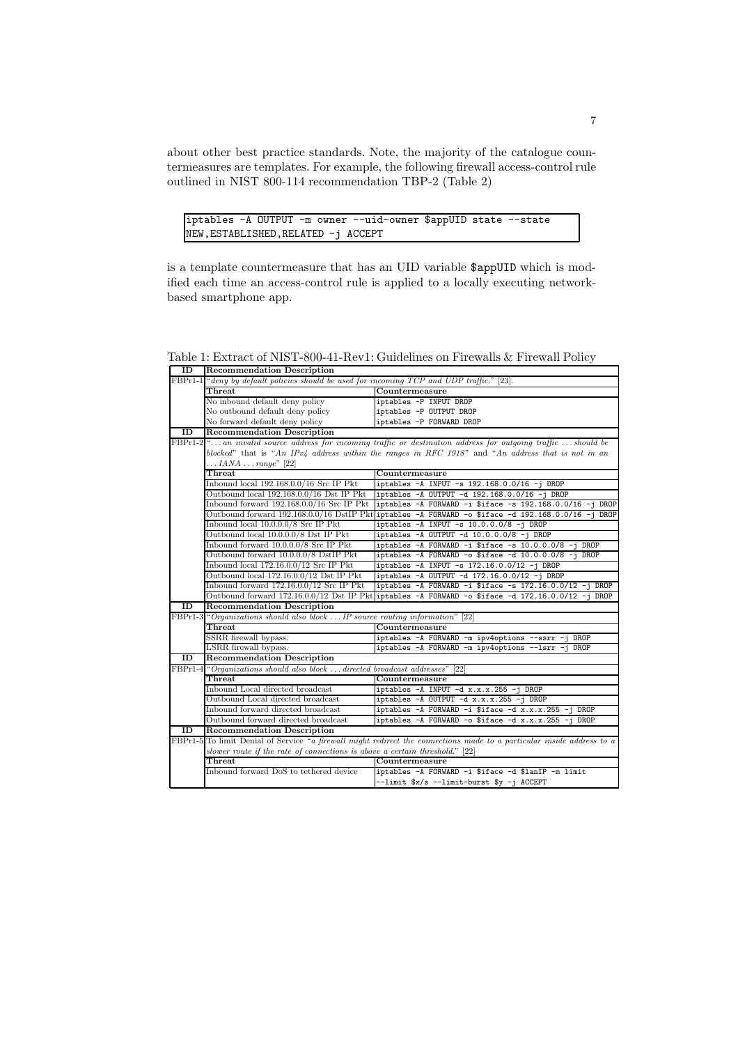about other best practice standards. Note, the majority of the catalogue countermeasures are templates. For example, the following firewall access-control rule outlined in NIST 800-114 recommendation TBP-2 (Table 2)

iptables -A OUTPUT -m owner --uid-owner \$appUID state --state NEW,ESTABLISHED,RELATED -j ACCEPT

is a template countermeasure that has an UID variable \$appUID which is modified each time an access-control rule is applied to a locally executing networkbased smartphone app.

ID Recommendation Description Fact the default policies should be used for incoming TCP and UDP traffic.<br>Threat [23]. [23]. [23]. [23]. [23]. [23]. [23]. [23]. [23]. [23]. [23]. [23]. [23]. [23]. [23]. [23]. [23]. [23]. [23]. [23]. [23]. [23]. [23]. [2 Countermeasure<br>iptables -P INPUT DROP No inbound default deny policy<br>No outbound default deny policy<br>iptables -P 0UTPUT DROP No outbound default deny policy<br>No forward default deny policy<br>iptables -P FORWARD DROP No forward default deny policy ID Recommendation Description  $\ldots$  an invalid source address for incoming traffic or destination address for outgoing traffic  $\ldots$  should be blocked" that is "An IPv4 address within the ranges in RFC 1918" and "An address that is not in an ... $IANA \ldots range"$  [22]<br>Threat Threat Countermeasure<br>Inbound local 192.168.0.0/16 Src IP Pkt iptables -A INPU Inbound local 192.168.0.0/16 Src IP Pkt iptables -A INPUT -s 192.168.0.0/16 -j DROP Outbound local 192.168.0.0/16 Dst IP Pkt iptables -A OUTPUT -d 192.168.0.0/16 -j DROF<br>Inbound forward 192.168.0.0/16 Src IP Pkt iptables -A FORWARD -i \$iface -s 192.168.0.0  $iptables -A FORWARD -i $iface -s 192.168.0.0/16 -j DRO  
iptables -A FORWARD -o $iface -d 192.168.0.0/16 -j DRO$ Outbound forward 192.168.0.0/16 DstIP Pkt iptables -A FORWARD -o \$iface Inbound local 10.0.0.0/8 Src IP Pkt iptables -A INPUT -s 10.0.0.0/8 -j DROP<br>Outbound local 10.0.0.0/8 Dst IP Pkt iptables -A OUTPUT -d 10.0.0.0/8 -j DROP Outbound local  $10.0.0.0/8$  Dst IP Pkt iptables -A OUTPUT -d 10.0.0.0/8 Inbound forward 10.0.0.0/8 Src IP Pkt iptables -A FORWARD -i \$iface -s 10.0.0.0/8 -j DROP Outbound forward 10.0.0.0/8 DstIP Pkt iptables -A FORWARD -o \$iface -d 10.0.0.0/8 -j DROP Inbound local  $172.16.0.0/12$  Src IP Pkt iptables  $-A$  INPUT  $-s$  172.16.0.0/12  $-j$  DROP Outbound local 172.16.0.0/12 Dst IP Pkt iptables -A OUTPUT -d 172.16.0.0/12 -j DROP Inbound forward 172.16.0.0/12 Src IP Pkt iptables  $-A$  FORWARD  $-i$  \$iface  $-s$  172.16.0.0/12  $-i$  DROP Outbound forward 172.16.0.0/12 Dst IP Pkt iptables -A FORWARD -o \$iface -d 172.16.0.0/12 -j DROP **ID** Recommendation Description<br> **EXPP1-3** "Organizations should also block. "Organizations should also block ... IP source routing information"  $[22]$ <br>Threat Countermeasure Threat Countermeasure<br>SRR firewall bypass.<br>iptables -A FORM. SSRR firewall bypass.<br>
iptables -A FORWARD -m ipv4options --ssrr -j DROF<br>
iptables -A FORWARD -m ipv4options --lsrr -j DROF iptables -A FORWARD -m ipv4options --lsrr -j DROP ID Recommendation Description FBPr1-4 "Organizations should also block . . . directed broadcast addresses" [22] Threat Countermeasure Inbound Local directed broadcast **iptables -A INPUT -d x.x.x.255 -j DRO**I Outbound Local directed broadcast iptables -A OUTPUT -d x.x.x.255 -j DROF Inbound forward directed broadcast **iptables -A FORWARD -i \$iface -d x.x.x.255 -j DRO** Outbound forward directed broadcast iptables -A FORWARD -o \$iface -d x.x.x.255 -j DROP ID Recommendation Description<br> $FBPr1-5$  To limit Denial of Service "a firew To limit Denial of Service "a firewall might redirect the connections made to a particular inside address to  $\alpha$ slower route if the rate of connections is above a certain threshold." [22] Threat Countermeasure<br>Inhound forward DoS to tethered device intables -4 FORW iptables -A FORWARD -i \$iface -d \$lanIP -m limit -limit \$x/s --limit-burst \$y -j ACCEPT

Table 1: Extract of NIST-800-41-Rev1: Guidelines on Firewalls & Firewall Policy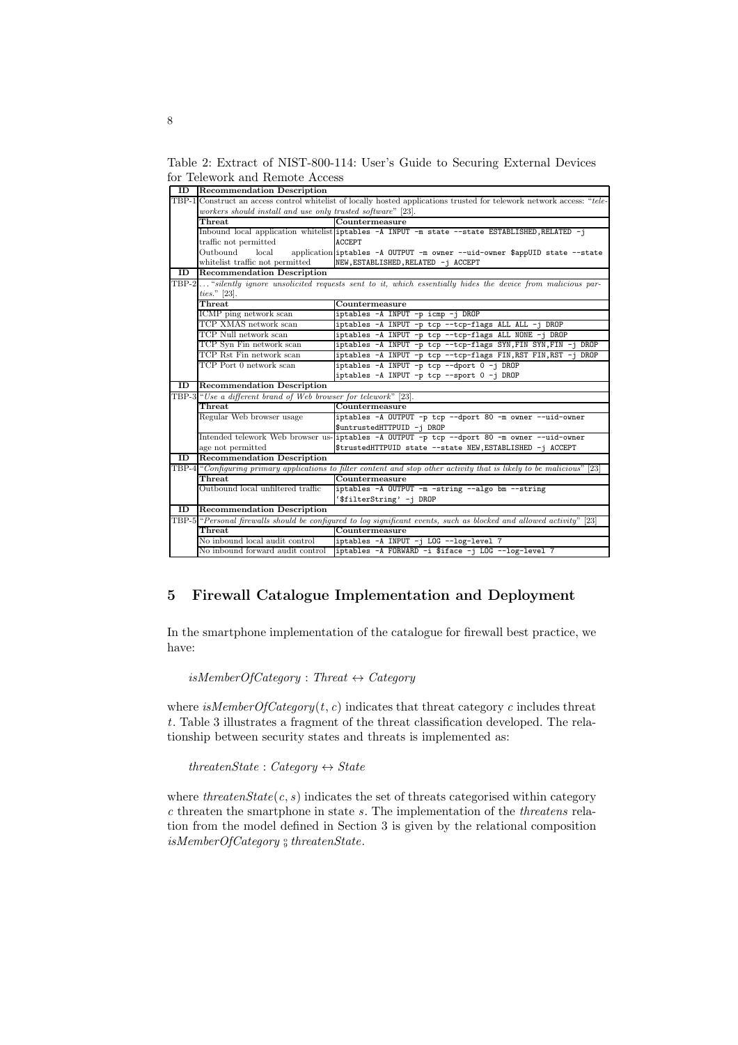Table 2: Extract of NIST-800-114: User's Guide to Securing External Devices for Telework and Remote Access

|    | <b>ID</b> Recommendation Description                                                                                   |                                                                                                                         |  |  |  |  |  |  |  |
|----|------------------------------------------------------------------------------------------------------------------------|-------------------------------------------------------------------------------------------------------------------------|--|--|--|--|--|--|--|
|    | TBP-1 Construct an access control whitelist of locally hosted applications trusted for telework network access: "tele- |                                                                                                                         |  |  |  |  |  |  |  |
|    | workers should install and use only trusted software" [23].                                                            |                                                                                                                         |  |  |  |  |  |  |  |
|    | Threat                                                                                                                 | Countermeasure                                                                                                          |  |  |  |  |  |  |  |
|    |                                                                                                                        | Inbound local application whitelist iptables -A INPUT -m state --state ESTABLISHED, RELATED -j                          |  |  |  |  |  |  |  |
|    | traffic not permitted                                                                                                  | <b>ACCEPT</b>                                                                                                           |  |  |  |  |  |  |  |
|    | Outbound<br>local                                                                                                      | application iptables -A OUTPUT -m owner --uid-owner \$appUID state --state                                              |  |  |  |  |  |  |  |
|    | whitelist traffic not permitted                                                                                        | NEW, ESTABLISHED, RELATED -j ACCEPT                                                                                     |  |  |  |  |  |  |  |
| ID | <b>Recommendation Description</b>                                                                                      |                                                                                                                         |  |  |  |  |  |  |  |
|    | TBP-2 "silently ignore unsolicited requests sent to it, which essentially hides the device from malicious par-         |                                                                                                                         |  |  |  |  |  |  |  |
|    | ties." [23].                                                                                                           |                                                                                                                         |  |  |  |  |  |  |  |
|    | ${\bf Thread}$                                                                                                         | Countermeasure                                                                                                          |  |  |  |  |  |  |  |
|    | ICMP ping network scan                                                                                                 | iptables -A INPUT -p icmp -j DROP                                                                                       |  |  |  |  |  |  |  |
|    | TCP XMAS network scan                                                                                                  | iptables -A INPUT -p tcp --tcp-flags ALL ALL -j DROP                                                                    |  |  |  |  |  |  |  |
|    | TCP Null network scan                                                                                                  | iptables -A INPUT -p tcp --tcp-flags ALL NONE -j DROP                                                                   |  |  |  |  |  |  |  |
|    | TCP Syn Fin network scan                                                                                               | iptables -A INPUT -p tcp --tcp-flags SYN, FIN SYN, FIN -j DROP                                                          |  |  |  |  |  |  |  |
|    | TCP Rst Fin network scan                                                                                               | iptables -A INPUT -p tcp --tcp-flags FIN, RST FIN, RST -j DROP                                                          |  |  |  |  |  |  |  |
|    | TCP Port 0 network scan                                                                                                | iptables -A INPUT -p tcp --dport 0 -j DROP                                                                              |  |  |  |  |  |  |  |
|    |                                                                                                                        | iptables -A INPUT -p tcp --sport 0 -j DROP                                                                              |  |  |  |  |  |  |  |
|    | <b>ID</b> Recommendation Description                                                                                   |                                                                                                                         |  |  |  |  |  |  |  |
|    | TBP-3 "Use a different brand of Web browser for telework" [23].                                                        |                                                                                                                         |  |  |  |  |  |  |  |
|    | Threat                                                                                                                 | Countermeasure                                                                                                          |  |  |  |  |  |  |  |
|    | Regular Web browser usage                                                                                              | iptables -A OUTPUT -p tcp --dport 80 -m owner --uid-owner                                                               |  |  |  |  |  |  |  |
|    |                                                                                                                        | \$untrustedHTTPUID -j DROP                                                                                              |  |  |  |  |  |  |  |
|    |                                                                                                                        | Intended telework Web browser us-iptables -A OUTPUT -p tcp --dport 80 -m owner --uid-owner                              |  |  |  |  |  |  |  |
|    | age not permitted                                                                                                      | \$trustedHTTPUID state --state NEW, ESTABLISHED -j ACCEPT                                                               |  |  |  |  |  |  |  |
| ID | <b>Recommendation Description</b>                                                                                      |                                                                                                                         |  |  |  |  |  |  |  |
|    |                                                                                                                        | TBP-4 "Configuring primary applications to filter content and stop other activity that is likely to be malicious" [23]  |  |  |  |  |  |  |  |
|    | Threat                                                                                                                 | Countermeasure                                                                                                          |  |  |  |  |  |  |  |
|    | Outbound local unfiltered traffic                                                                                      | iptables -A OUTPUT -m -string --algo bm --string                                                                        |  |  |  |  |  |  |  |
|    |                                                                                                                        | '\$filterString' -j DROP                                                                                                |  |  |  |  |  |  |  |
|    | <b>ID</b> Recommendation Description                                                                                   |                                                                                                                         |  |  |  |  |  |  |  |
|    |                                                                                                                        | TBP-5 "Personal firewalls should be configured to log significant events, such as blocked and allowed activity"<br>[23] |  |  |  |  |  |  |  |
|    | Threat                                                                                                                 | Countermeasure                                                                                                          |  |  |  |  |  |  |  |
|    | No inbound local audit control                                                                                         | iptables -A INPUT -j LOG --log-level 7                                                                                  |  |  |  |  |  |  |  |
|    | No inbound forward audit control                                                                                       | iptables -A FORWARD -i \$iface -j LOG --log-level 7                                                                     |  |  |  |  |  |  |  |

# 5 Firewall Catalogue Implementation and Deployment

In the smartphone implementation of the catalogue for firewall best practice, we have:

 $isMemberOfCategory: Thread \leftrightarrow Category$ 

where  $isMemberOfCategory(t, c)$  indicates that threat category c includes threat t. Table 3 illustrates a fragment of the threat classification developed. The relationship between security states and threats is implemented as:

threatenState : Category  $\leftrightarrow$  State

where threaten $State(c, s)$  indicates the set of threats categorised within category c threaten the smartphone in state s. The implementation of the threatens relation from the model defined in Section 3 is given by the relational composition  $is MemberOfCategory$   $\frac{\circ}{9}$  threatenState.

8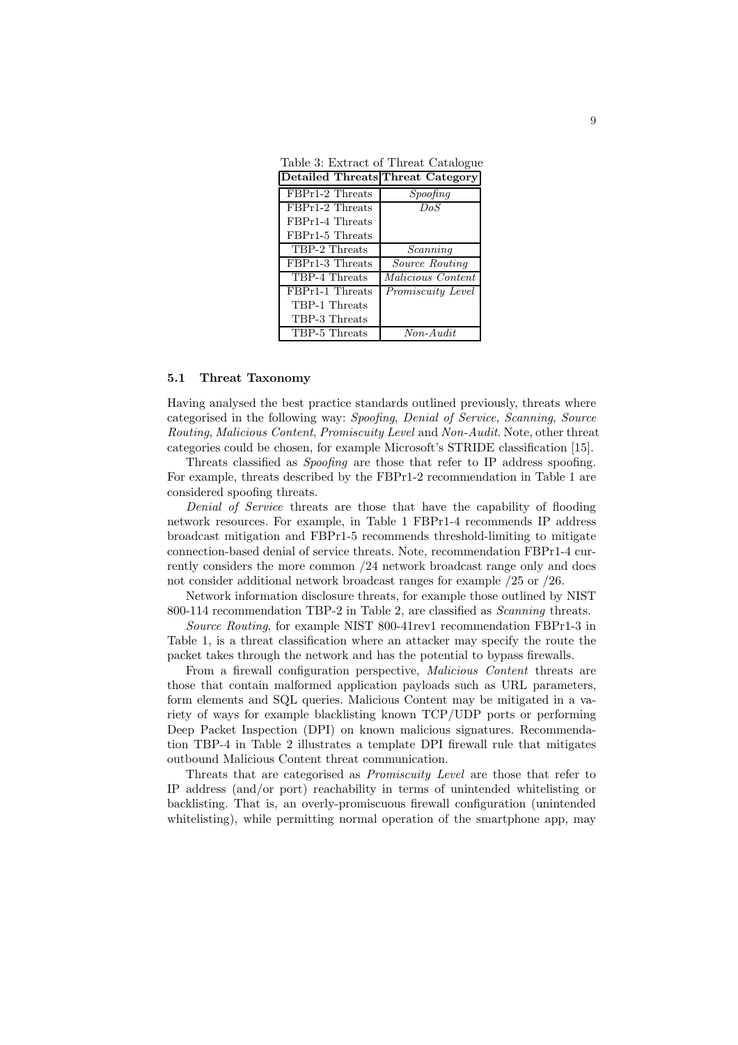Table 3: Extract of Threat Catalogue

| Detailed Threats Threat Category |                   |
|----------------------------------|-------------------|
| FBPr1-2 Threats                  | Spoofing          |
| FBPr1-2 Threats                  | DoS               |
| FBPr1-4 Threats                  |                   |
| FBPr1-5 Threats                  |                   |
| TBP-2 Threats                    | Scanning          |
| FBPr1-3 Threats                  | Source Routing    |
| TBP-4 Threats                    | Malicious Content |
| FBPr1-1 Threats                  | Promiscuity Level |
| TBP-1 Threats                    |                   |
| TBP-3 Threats                    |                   |
| TBP-5 Threats                    | $Non-Audit$       |

#### 5.1 Threat Taxonomy

Having analysed the best practice standards outlined previously, threats where categorised in the following way: Spoofing, Denial of Service, Scanning, Source Routing, Malicious Content, Promiscuity Level and Non-Audit. Note, other threat categories could be chosen, for example Microsoft's STRIDE classification [15].

Threats classified as Spoofing are those that refer to IP address spoofing. For example, threats described by the FBPr1-2 recommendation in Table 1 are considered spoofing threats.

Denial of Service threats are those that have the capability of flooding network resources. For example, in Table 1 FBPr1-4 recommends IP address broadcast mitigation and FBPr1-5 recommends threshold-limiting to mitigate connection-based denial of service threats. Note, recommendation FBPr1-4 currently considers the more common /24 network broadcast range only and does not consider additional network broadcast ranges for example /25 or /26.

Network information disclosure threats, for example those outlined by NIST 800-114 recommendation TBP-2 in Table 2, are classified as Scanning threats.

Source Routing, for example NIST 800-41rev1 recommendation FBPr1-3 in Table 1, is a threat classification where an attacker may specify the route the packet takes through the network and has the potential to bypass firewalls.

From a firewall configuration perspective, Malicious Content threats are those that contain malformed application payloads such as URL parameters, form elements and SQL queries. Malicious Content may be mitigated in a variety of ways for example blacklisting known TCP/UDP ports or performing Deep Packet Inspection (DPI) on known malicious signatures. Recommendation TBP-4 in Table 2 illustrates a template DPI firewall rule that mitigates outbound Malicious Content threat communication.

Threats that are categorised as Promiscuity Level are those that refer to IP address (and/or port) reachability in terms of unintended whitelisting or backlisting. That is, an overly-promiscuous firewall configuration (unintended whitelisting), while permitting normal operation of the smartphone app, may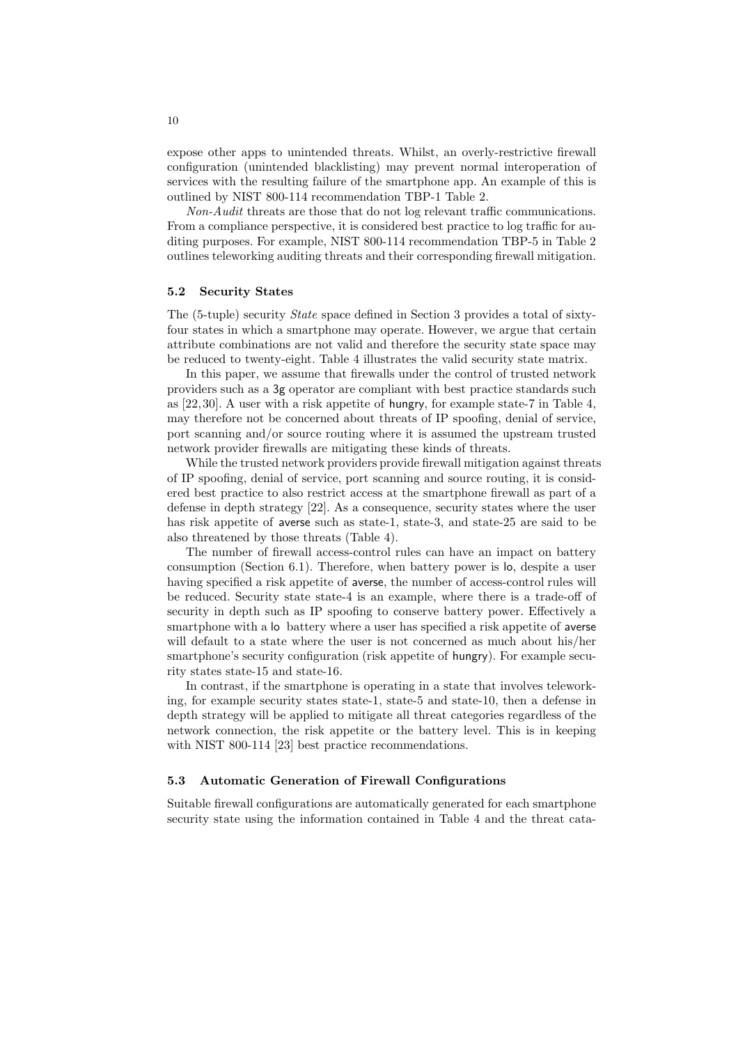expose other apps to unintended threats. Whilst, an overly-restrictive firewall configuration (unintended blacklisting) may prevent normal interoperation of services with the resulting failure of the smartphone app. An example of this is outlined by NIST 800-114 recommendation TBP-1 Table 2.

Non-Audit threats are those that do not log relevant traffic communications. From a compliance perspective, it is considered best practice to log traffic for auditing purposes. For example, NIST 800-114 recommendation TBP-5 in Table 2 outlines teleworking auditing threats and their corresponding firewall mitigation.

#### 5.2 Security States

The (5-tuple) security State space defined in Section 3 provides a total of sixtyfour states in which a smartphone may operate. However, we argue that certain attribute combinations are not valid and therefore the security state space may be reduced to twenty-eight. Table 4 illustrates the valid security state matrix.

In this paper, we assume that firewalls under the control of trusted network providers such as a 3g operator are compliant with best practice standards such as [22, 30]. A user with a risk appetite of hungry, for example state-7 in Table 4, may therefore not be concerned about threats of IP spoofing, denial of service, port scanning and/or source routing where it is assumed the upstream trusted network provider firewalls are mitigating these kinds of threats.

While the trusted network providers provide firewall mitigation against threats of IP spoofing, denial of service, port scanning and source routing, it is considered best practice to also restrict access at the smartphone firewall as part of a defense in depth strategy [22]. As a consequence, security states where the user has risk appetite of averse such as state-1, state-3, and state-25 are said to be also threatened by those threats (Table 4).

The number of firewall access-control rules can have an impact on battery consumption (Section 6.1). Therefore, when battery power is lo, despite a user having specified a risk appetite of averse, the number of access-control rules will be reduced. Security state state-4 is an example, where there is a trade-off of security in depth such as IP spoofing to conserve battery power. Effectively a smartphone with a lo battery where a user has specified a risk appetite of averse will default to a state where the user is not concerned as much about his/her smartphone's security configuration (risk appetite of hungry). For example security states state-15 and state-16.

In contrast, if the smartphone is operating in a state that involves teleworking, for example security states state-1, state-5 and state-10, then a defense in depth strategy will be applied to mitigate all threat categories regardless of the network connection, the risk appetite or the battery level. This is in keeping with NIST 800-114 [23] best practice recommendations.

### 5.3 Automatic Generation of Firewall Configurations

Suitable firewall configurations are automatically generated for each smartphone security state using the information contained in Table 4 and the threat cata-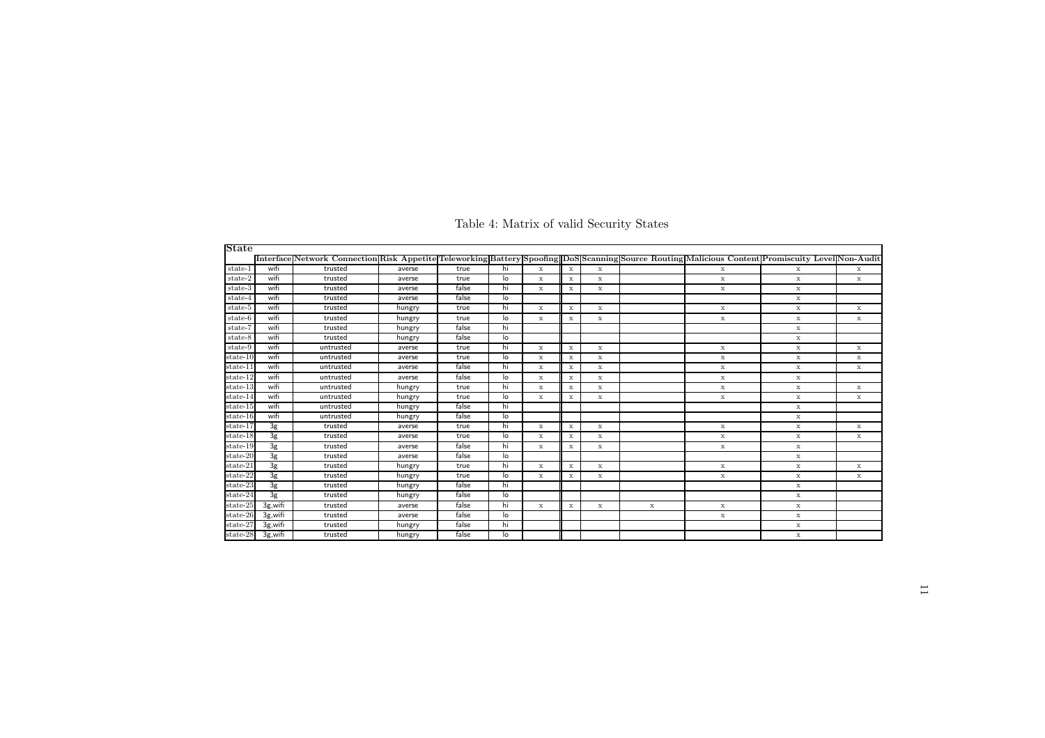| State      |                |                                                                                                                                                    |        |       |    |              |             |             |             |             |             |             |
|------------|----------------|----------------------------------------------------------------------------------------------------------------------------------------------------|--------|-------|----|--------------|-------------|-------------|-------------|-------------|-------------|-------------|
|            |                | Interface Network Connection Risk Appetite Teleworking Battery Spoofing  DoS Scanning Source Routing Malicious Content Promiscuity Level Non-Audit |        |       |    |              |             |             |             |             |             |             |
| state-1    | wifi           | trusted                                                                                                                                            | averse | true  | hi | $\mathbf x$  | $\mathbf x$ | $\mathbf x$ |             | $\mathbf x$ | $\mathbf x$ | $\mathbf x$ |
| state-2    | wifi           | trusted                                                                                                                                            | averse | true  | lo | x            | $\mathbf x$ | $\mathbf x$ |             | $\mathbf x$ | $\mathbf x$ | $\mathbf x$ |
| state-3    | wifi           | trusted                                                                                                                                            | averse | false | hi | $\mathbf x$  | $\mathbf x$ | $\mathbf x$ |             | $\mathbf x$ | $\mathbf x$ |             |
| state-4    | wifi           | trusted                                                                                                                                            | averse | false | lo |              |             |             |             |             | $\mathbf x$ |             |
| state-5    | wifi           | trusted                                                                                                                                            | hungry | true  | hi | $\mathbf x$  | $\mathbf x$ | $\mathbf x$ |             | $\mathbf x$ | $\mathbf x$ | $\mathbf x$ |
| state-6    | wifi           | trusted                                                                                                                                            | hungry | true  | lo | $\mathbf x$  | x           | $\mathbf x$ |             | $\mathbf x$ | $\mathbf x$ | $\mathbf x$ |
| $state-7$  | wifi           | trusted                                                                                                                                            | hungry | false | hi |              |             |             |             |             | $\mathbf x$ |             |
| state-8    | wifi           | trusted                                                                                                                                            | hungry | false | lo |              |             |             |             |             | $\mathbf x$ |             |
| state-9    | wifi           | untrusted                                                                                                                                          | averse | true  | hi | $\mathbf x$  | $\mathbf x$ | $\mathbf x$ |             | $\mathbf x$ | $\mathbf x$ | $\mathbf x$ |
| $state-10$ | wifi           | untrusted                                                                                                                                          | averse | true  | lo | $\mathbf{x}$ | $\mathbf x$ | $\mathbf x$ |             | $\mathbf x$ | $\mathbf x$ | x           |
| state-11   | wifi           | untrusted                                                                                                                                          | averse | false | hi | x            | $\mathbf x$ | x           |             | $\mathbf x$ | $\mathbf x$ | $\mathbf x$ |
| state-12   | wifi           | untrusted                                                                                                                                          | averse | false | lo | x            | x           | x           |             | x           | $\mathbf x$ |             |
| state-13   | wifi           | untrusted                                                                                                                                          | hungry | true  | hi | $\mathbf x$  | $\mathbf x$ | $\mathbf x$ |             | $\mathbf x$ | $\mathbf x$ | $\mathbf x$ |
| $state-14$ | wifi           | untrusted                                                                                                                                          | hungry | true  | lo | $\mathbf x$  | $\mathbf x$ | $\mathbf x$ |             | $\mathbf x$ | $\mathbf x$ | $\mathbf x$ |
| $state-15$ | wifi           | untrusted                                                                                                                                          | hungry | false | hi |              |             |             |             |             | $\mathbf x$ |             |
| state-16   | wifi           | untrusted                                                                                                                                          | hungry | false | lo |              |             |             |             |             | $\mathbf x$ |             |
| state-17   | 3g             | trusted                                                                                                                                            | averse | true  | hi | $\mathbf x$  | $\mathbf x$ | $\mathbf x$ |             | $\mathbf x$ | $\mathbf x$ | $\mathbf x$ |
| $state-18$ | 3g             | trusted                                                                                                                                            | averse | true  | lo | $\mathbf x$  | $\mathbf x$ | $\mathbf x$ |             | $\mathbf x$ | $\mathbf x$ | $\mathbf x$ |
| state-19   | 3g             | trusted                                                                                                                                            | averse | false | hi | $\mathbf x$  | x           | $\mathbf x$ |             | $\mathbf x$ | $\mathbf x$ |             |
| state-20   | 3 <sub>g</sub> | trusted                                                                                                                                            | averse | false | lo |              |             |             |             |             | $\mathbf x$ |             |
| state-21   | 3 <sub>g</sub> | trusted                                                                                                                                            | hungry | true  | hi | $\mathbf x$  | $\mathbf x$ | $\mathbf x$ |             | $\mathbf x$ | $\mathbf x$ | $\mathbf x$ |
| state-22   | 3g             | trusted                                                                                                                                            | hungry | true  | lo | $\mathbf x$  | $\mathbf x$ | $\mathbf x$ |             | $\mathbf x$ | $\mathbf x$ | $\mathbf x$ |
| $state-23$ | 3g             | trusted                                                                                                                                            | hungry | false | hi |              |             |             |             |             | $\mathbf x$ |             |
| state-24   | 3g             | trusted                                                                                                                                            | hungry | false | lo |              |             |             |             |             | $\mathbf x$ |             |
| state-25   | $3g,$ wifi     | trusted                                                                                                                                            | averse | false | hi | $\mathbf x$  | $\mathbf x$ | x           | $\mathbf x$ | x           | $\mathbf x$ |             |
| state-26   | 3g, wifi       | trusted                                                                                                                                            | averse | false | lo |              |             |             |             | $\mathbf x$ | $\mathbf x$ |             |
| state-27   | 3g, wifi       | trusted                                                                                                                                            | hungry | false | hi |              |             |             |             |             | $\mathbf x$ |             |
| state-28   | 3g,wifi        | trusted                                                                                                                                            | hungry | false | lo |              |             |             |             |             | x           |             |

Table 4: Matrix of valid Security States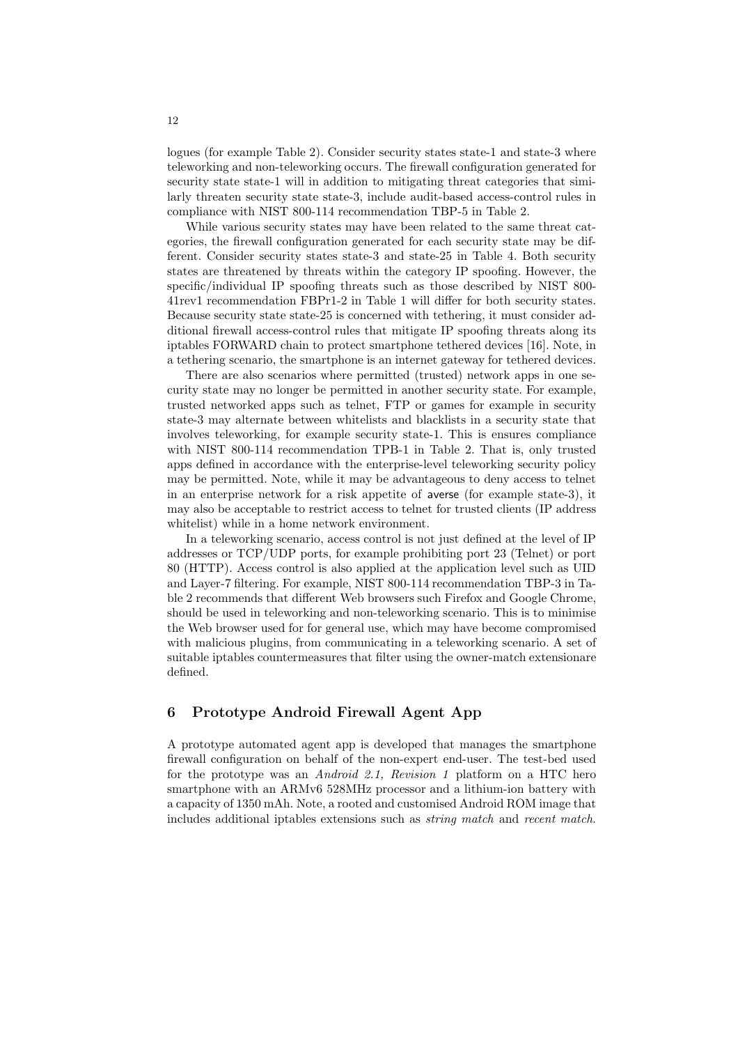logues (for example Table 2). Consider security states state-1 and state-3 where teleworking and non-teleworking occurs. The firewall configuration generated for security state state-1 will in addition to mitigating threat categories that similarly threaten security state state-3, include audit-based access-control rules in compliance with NIST 800-114 recommendation TBP-5 in Table 2.

While various security states may have been related to the same threat categories, the firewall configuration generated for each security state may be different. Consider security states state-3 and state-25 in Table 4. Both security states are threatened by threats within the category IP spoofing. However, the specific/individual IP spoofing threats such as those described by NIST 800- 41rev1 recommendation FBPr1-2 in Table 1 will differ for both security states. Because security state state-25 is concerned with tethering, it must consider additional firewall access-control rules that mitigate IP spoofing threats along its iptables FORWARD chain to protect smartphone tethered devices [16]. Note, in a tethering scenario, the smartphone is an internet gateway for tethered devices.

There are also scenarios where permitted (trusted) network apps in one security state may no longer be permitted in another security state. For example, trusted networked apps such as telnet, FTP or games for example in security state-3 may alternate between whitelists and blacklists in a security state that involves teleworking, for example security state-1. This is ensures compliance with NIST 800-114 recommendation TPB-1 in Table 2. That is, only trusted apps defined in accordance with the enterprise-level teleworking security policy may be permitted. Note, while it may be advantageous to deny access to telnet in an enterprise network for a risk appetite of averse (for example state-3), it may also be acceptable to restrict access to telnet for trusted clients (IP address whitelist) while in a home network environment.

In a teleworking scenario, access control is not just defined at the level of IP addresses or TCP/UDP ports, for example prohibiting port 23 (Telnet) or port 80 (HTTP). Access control is also applied at the application level such as UID and Layer-7 filtering. For example, NIST 800-114 recommendation TBP-3 in Table 2 recommends that different Web browsers such Firefox and Google Chrome, should be used in teleworking and non-teleworking scenario. This is to minimise the Web browser used for for general use, which may have become compromised with malicious plugins, from communicating in a teleworking scenario. A set of suitable iptables countermeasures that filter using the owner-match extensionare defined.

## 6 Prototype Android Firewall Agent App

A prototype automated agent app is developed that manages the smartphone firewall configuration on behalf of the non-expert end-user. The test-bed used for the prototype was an Android 2.1, Revision 1 platform on a HTC hero smartphone with an ARMv6 528MHz processor and a lithium-ion battery with a capacity of 1350 mAh. Note, a rooted and customised Android ROM image that includes additional iptables extensions such as string match and recent match.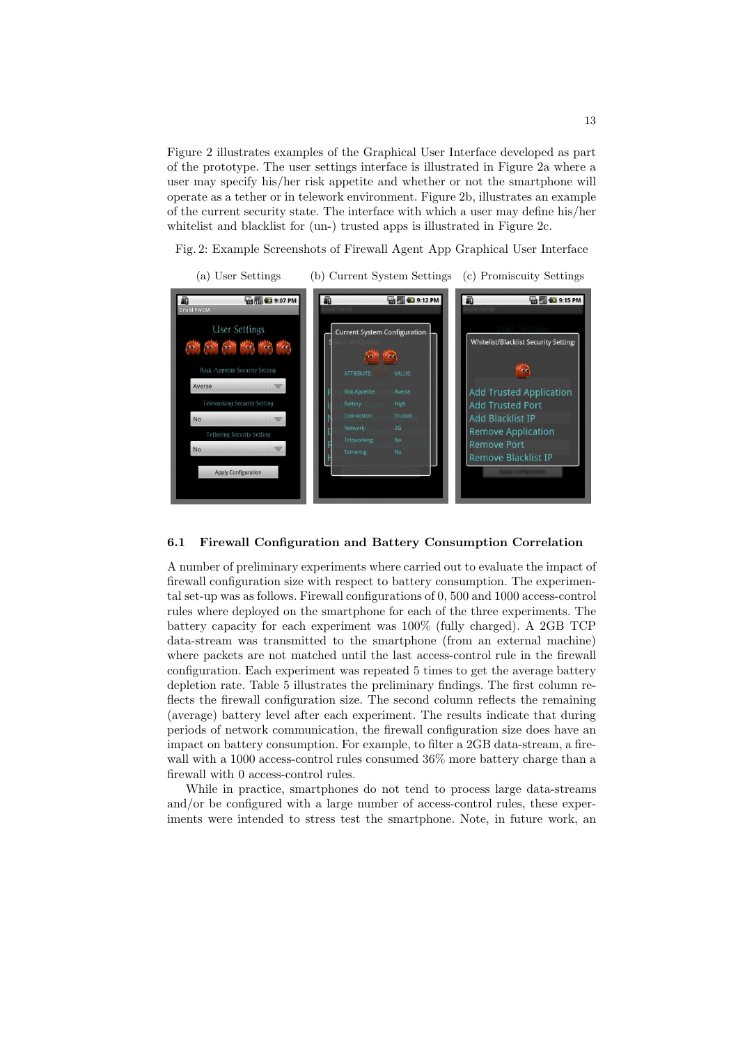Figure 2 illustrates examples of the Graphical User Interface developed as part of the prototype. The user settings interface is illustrated in Figure 2a where a user may specify his/her risk appetite and whether or not the smartphone will operate as a tether or in telework environment. Figure 2b, illustrates an example of the current security state. The interface with which a user may define his/her whitelist and blacklist for (un-) trusted apps is illustrated in Figure 2c.

Fig. 2: Example Screenshots of Firewall Agent App Graphical User Interface



#### 6.1 Firewall Configuration and Battery Consumption Correlation

A number of preliminary experiments where carried out to evaluate the impact of firewall configuration size with respect to battery consumption. The experimental set-up was as follows. Firewall configurations of 0, 500 and 1000 access-control rules where deployed on the smartphone for each of the three experiments. The battery capacity for each experiment was 100% (fully charged). A 2GB TCP data-stream was transmitted to the smartphone (from an external machine) where packets are not matched until the last access-control rule in the firewall configuration. Each experiment was repeated 5 times to get the average battery depletion rate. Table 5 illustrates the preliminary findings. The first column reflects the firewall configuration size. The second column reflects the remaining (average) battery level after each experiment. The results indicate that during periods of network communication, the firewall configuration size does have an impact on battery consumption. For example, to filter a 2GB data-stream, a firewall with a 1000 access-control rules consumed 36% more battery charge than a firewall with 0 access-control rules.

While in practice, smartphones do not tend to process large data-streams and/or be configured with a large number of access-control rules, these experiments were intended to stress test the smartphone. Note, in future work, an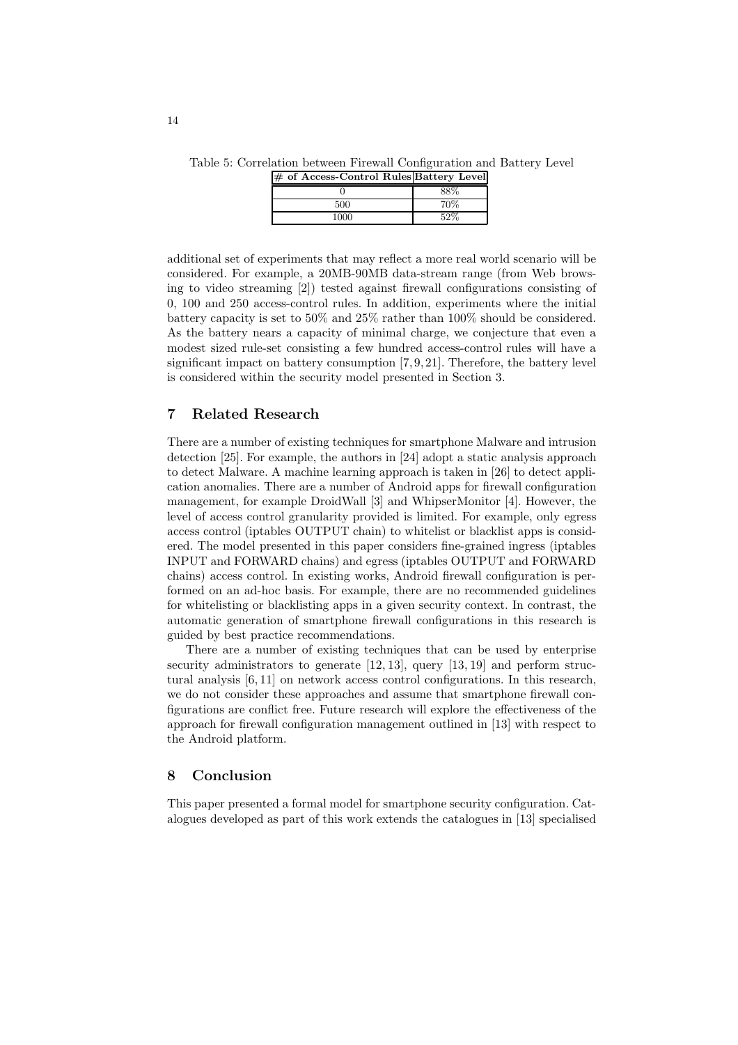Table 5: Correlation between Firewall Configuration and Battery Level

| # of Access-Control Rules Battery Level |      |
|-----------------------------------------|------|
|                                         |      |
| 500                                     | 70\% |
| 1000                                    | 59%  |
|                                         |      |

additional set of experiments that may reflect a more real world scenario will be considered. For example, a 20MB-90MB data-stream range (from Web browsing to video streaming [2]) tested against firewall configurations consisting of 0, 100 and 250 access-control rules. In addition, experiments where the initial battery capacity is set to 50% and 25% rather than 100% should be considered. As the battery nears a capacity of minimal charge, we conjecture that even a modest sized rule-set consisting a few hundred access-control rules will have a significant impact on battery consumption [7, 9, 21]. Therefore, the battery level is considered within the security model presented in Section 3.

### 7 Related Research

There are a number of existing techniques for smartphone Malware and intrusion detection [25]. For example, the authors in [24] adopt a static analysis approach to detect Malware. A machine learning approach is taken in [26] to detect application anomalies. There are a number of Android apps for firewall configuration management, for example DroidWall [3] and WhipserMonitor [4]. However, the level of access control granularity provided is limited. For example, only egress access control (iptables OUTPUT chain) to whitelist or blacklist apps is considered. The model presented in this paper considers fine-grained ingress (iptables INPUT and FORWARD chains) and egress (iptables OUTPUT and FORWARD chains) access control. In existing works, Android firewall configuration is performed on an ad-hoc basis. For example, there are no recommended guidelines for whitelisting or blacklisting apps in a given security context. In contrast, the automatic generation of smartphone firewall configurations in this research is guided by best practice recommendations.

There are a number of existing techniques that can be used by enterprise security administrators to generate [12, 13], query [13, 19] and perform structural analysis [6, 11] on network access control configurations. In this research, we do not consider these approaches and assume that smartphone firewall configurations are conflict free. Future research will explore the effectiveness of the approach for firewall configuration management outlined in [13] with respect to the Android platform.

### 8 Conclusion

This paper presented a formal model for smartphone security configuration. Catalogues developed as part of this work extends the catalogues in [13] specialised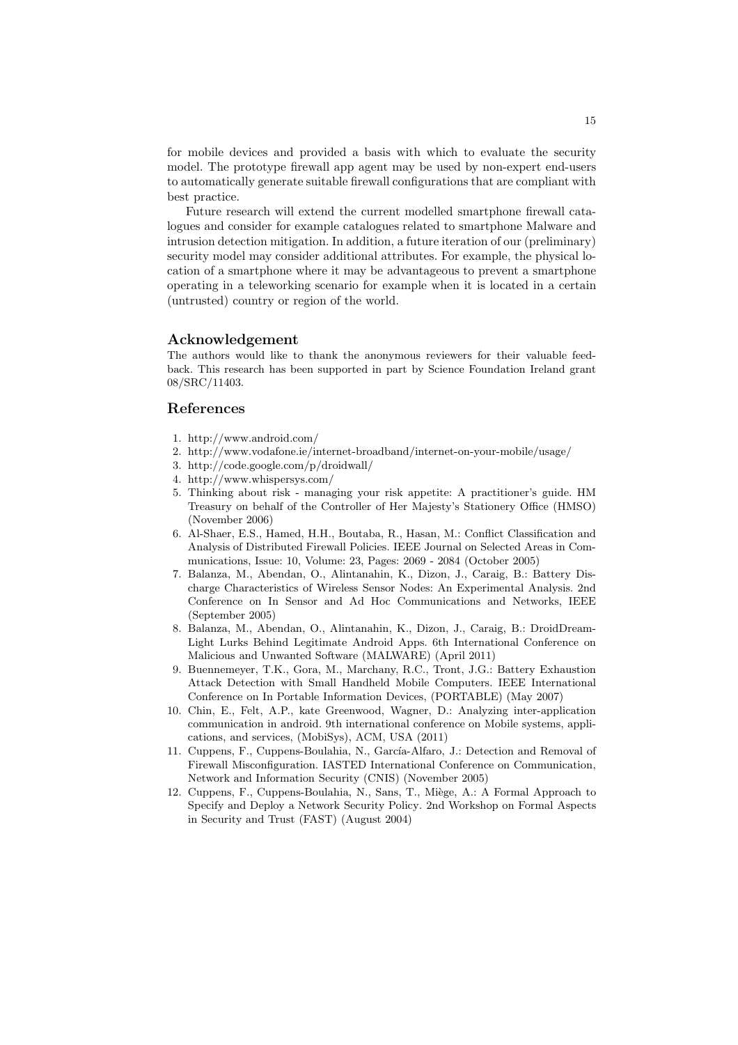for mobile devices and provided a basis with which to evaluate the security model. The prototype firewall app agent may be used by non-expert end-users to automatically generate suitable firewall configurations that are compliant with best practice.

Future research will extend the current modelled smartphone firewall catalogues and consider for example catalogues related to smartphone Malware and intrusion detection mitigation. In addition, a future iteration of our (preliminary) security model may consider additional attributes. For example, the physical location of a smartphone where it may be advantageous to prevent a smartphone operating in a teleworking scenario for example when it is located in a certain (untrusted) country or region of the world.

#### Acknowledgement

The authors would like to thank the anonymous reviewers for their valuable feedback. This research has been supported in part by Science Foundation Ireland grant 08/SRC/11403.

### References

- 1. http://www.android.com/
- 2. http://www.vodafone.ie/internet-broadband/internet-on-your-mobile/usage/
- 3. http://code.google.com/p/droidwall/
- 4. http://www.whispersys.com/
- 5. Thinking about risk managing your risk appetite: A practitioner's guide. HM Treasury on behalf of the Controller of Her Majesty's Stationery Office (HMSO) (November 2006)
- 6. Al-Shaer, E.S., Hamed, H.H., Boutaba, R., Hasan, M.: Conflict Classification and Analysis of Distributed Firewall Policies. IEEE Journal on Selected Areas in Communications, Issue: 10, Volume: 23, Pages: 2069 - 2084 (October 2005)
- 7. Balanza, M., Abendan, O., Alintanahin, K., Dizon, J., Caraig, B.: Battery Discharge Characteristics of Wireless Sensor Nodes: An Experimental Analysis. 2nd Conference on In Sensor and Ad Hoc Communications and Networks, IEEE (September 2005)
- 8. Balanza, M., Abendan, O., Alintanahin, K., Dizon, J., Caraig, B.: DroidDream-Light Lurks Behind Legitimate Android Apps. 6th International Conference on Malicious and Unwanted Software (MALWARE) (April 2011)
- 9. Buennemeyer, T.K., Gora, M., Marchany, R.C., Tront, J.G.: Battery Exhaustion Attack Detection with Small Handheld Mobile Computers. IEEE International Conference on In Portable Information Devices, (PORTABLE) (May 2007)
- 10. Chin, E., Felt, A.P., kate Greenwood, Wagner, D.: Analyzing inter-application communication in android. 9th international conference on Mobile systems, applications, and services, (MobiSys), ACM, USA (2011)
- 11. Cuppens, F., Cuppens-Boulahia, N., García-Alfaro, J.: Detection and Removal of Firewall Misconfiguration. IASTED International Conference on Communication, Network and Information Security (CNIS) (November 2005)
- 12. Cuppens, F., Cuppens-Boulahia, N., Sans, T., Miège, A.: A Formal Approach to Specify and Deploy a Network Security Policy. 2nd Workshop on Formal Aspects in Security and Trust (FAST) (August 2004)